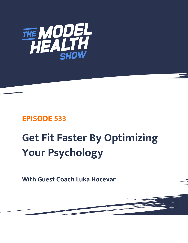

## **EPISODE 533**

# **Get Fit Faster By Optimizing Your Psychology**

**With Guest Coach Luka Hocevar**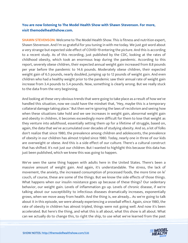### **You are now listening to The Model Health Show with Shawn Stevenson. For more, visit themodelhealthshow.com.**

**SHAWN STEVENSON:** Welcome to The Model Health Show. This is fitness and nutrition expert, Shawn Stevenson. And I'm so grateful for you tuning in with me today. We just got word about a very strange but expected side effect of COVID-19 entering the picture. And this is according to a recent study. As of this recording, just published by the CDC, looking at the rates of childhood obesity, which took an enormous leap during the pandemic. According to this report, severely obese children, their expected annual weight gain increased from 8.8 pounds per year before the pandemic to 14.6 pounds. Moderately obese children, their expected weight gain of 6.5 pounds, nearly doubled, jumping up to 12 pounds of weight gain. And even children who had a healthy weight prior to the pandemic saw their annual rate of weight gain increase from 3.4 pounds to 5.4 pounds. Now, something is clearly wrong. But we really stuck to the data from the very beginning.

And looking at these very obvious trends that were going to take place as a result of how we've handled this situation, now we could have the mindset that, "Hey, maybe this is a temporary collateral damage taking place." But then we're ignoring the laws of recidivism and seeing how when these situations take hold and we see increases in weight gain, abnormal weight gain and obesity in children, it becomes exceedingly more difficult for them to lose that weight as they venture into adulthood, essentially setting them up for a lifetime of struggle, based on, again, the data that we've accumulated over decades of studying obesity. And so, a lot of folks don't realize that since 1980, the prevalence among children and adolescents, the prevalence of obesity in our children has almost tripled since 1980. Today, nearly one in three of our kids are overweight or obese. And this is a side effect of our culture. There's a cultural construct that has shifted. It's not just our children. But I wanted to highlight this because this data has just been published, which we knew this was going to happen.

We've seen the same thing happen with adults here in the United States. There's been a massive amount of weight gain. And again, it's understandable. The stress, the lack of movement, the anxiety, the increased consumption of processed foods, the more time on le' couch, of course, these are some of the things. But we know the side effects of those things. What happens when our insulin resistance goes up because of these things? Our sedentary behavior, our weight gain. Levels of inflammation go up. Levels of chronic disease, if we're talking about our susceptibility to infectious diseases dramatically increases, exponentially grows, when we move away from health. And the thing is, we already... As we're going to talk about it in this episode, we were already experiencing a snowball effect. Again, since 1980, the rate of obesity in children has almost tripled, things were not going well. And now it's been accelerated. But here's the thing, and what this is all about, what this show is all about. What [can we actually do to change this, to right the ship, to use what we](https://themodelhealthshow.com/luca-hocevar/)'[ve learned from the past](https://themodelhealthshow.com/luca-hocevar/)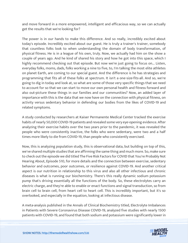and move forward in a more empowered, intelligent and efficacious way, so we can actually get the results that we're looking for?

The power is in our hands to make this difference. And so really, incredibly excited about today's episode. Incredibly excited about our guest. He is truly a trainer's trainer, somebody that countless folks look to when understanding the domain of body transformation, of physical fitness. He is in a league of his own, truly. Now, we actually had him on the show a couple of years ago. And he kind of shared his story and how he got into this space, which I highly recommend checking out that episode. But now we're just going to focus on... Listen, everyday folks, moms, dads, folks working a nine to five, to, I'm talking the most elite athletes on planet Earth, are coming to our special guest. And the difference is he has strategies and programming that fits all of these folks at spectrum. It isn't a one-size-fits-all. And so, we're going to dig in today and look at, so what are some of those very specific things that we need to account for so that we can start to move our own personal health and fitness forward and also out-picture these things in our families and our communities? Now, an added layer of importance with this is the data that we now have on the connection with physical fitness, on activity versus sedentary behavior in defending our bodies from the likes of COVID-19 and related symptoms.

A study conducted by researchers at Kaiser Permanente Medical Center tracked the exercise habits of nearly 50,000 COVID-19 patients and revealed some very eye-opening evidence. After analyzing their exercise habits over the two years prior to the pandemic, it was revealed the people who were consistently inactive, the folks who were sedentary, were two and a half times more likely to die from COVID-19, than people who consistently exercised.

Now, this is analyzing population study, this is observational data, but building on top of this, we've shared multiple studies that are affirming the same thing and much more. So, make sure to check out the episode we did titled The Five Risk Factors for COVID that You're Probably Not Hearing About, Episode 510, for more details and the connection between exercise, sedentary behavior and outcomes, poor outcomes, or resilience against COVID-19. And another critical aspect is our nutrition in relationship to this virus and also all other infectious and chronic diseases is what is running our biochemistry. There's this really dynamic sodium potassium pump that's driving essentially all the functions of the body. So, these electrolytes carry an electric charge, and they're able to enable or enact functions and signal transduction, so from brain cell to brain cell, from heart cell to heart cell. This is incredibly important, but it's so overlooked, and especially in the equation, looking at infectious disease.

A meta-analysis published in the Annals of Clinical Biochemistry titled, Electrolyte Imbalances in Patients with Severe Coronavirus Disease COVID-19, analyzed five studies with nearly 1500 patients with COVID-19, and found that both sodium and potassium were significantly lower in

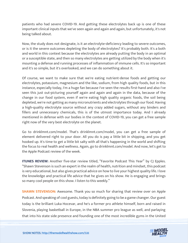patients who had severe COVID-19. And getting these electrolytes back up is one of these important clinical inputs that we've seen again and again and again, but unfortunately, it's not being talked about.

Now, the study does not designate, is it an electrolyte-deficiency leading to severe outcomes, or is it the severe outcomes depleting the body of electrolytes? It's probably both. It's a both and world in this context because the electrolytes are already putting the body in an optimal or a susceptible state, and then so many electrolytes are getting utilized by the body when it's mounting a defense and running processes of inflammation of immune cells. It's so important and it's so simple, but it's overlooked, and we can do something about it.

Of course, we want to make sure that we're eating nutrient-dense foods and getting our electrolytes, potassium, magnesium and the like, sodium, from high quality foods, but in this instance, especially today, I'm a huge fan because I've seen the results first-hand and also I've seen this just out-picturing yourself again and again and again in the data, because of the change in our food system, even if we're eating high quality organic foods, the soil being depleted, we're not getting as many micronutrients and electrolytes through our food. Having a high-quality electrolyte source without any crazy added sugars, without any binders and fillers and unnecessary chemicals, this is of the utmost importance today. And I already mentioned in defense with our bodies in the context of COVID-19, you can get a free sample right now of the very best electrolyte on the planet.

Go to drinklmnt.com/model. That's drinklmnt.com/model, you can get a free sample of element delivered right to your door. All you do is pay a little bit in shipping, and you get hooked up. It's time to get a little bit salty with all that's happening in the world and shifting the focus to real health and wellness. Again, go to drinklmnt.com/model. And now, let's get to the Apple Podcast review of the week.

**ITUNES REVIEW:** Another five-star review titled, "Favorite Podcast This Year" by CJ Epples. "Shawn Stevenson is such an expert in the realm of health, nutrition and mindset, this podcast is very educational, but also gives practical advice on how to live your highest quality life. I love the knowledge and practical life advice that he gives on his show. He is engaging and brings so many cool people on this show. I listen to this weekly."

**SHAWN STEVENSON:** Awesome. Thank you so much for sharing that review over on Apple Podcast. And speaking of cool guests, today is definitely going to be a game changer. Our guest today is the brilliant Luka Hocevar, and he's a former pro athlete himself, born and raised in Slovenia, playing basketball in Europe, in the NBA summer pro league as well, and parlaying [that into his state side presence and founding one of the most incredible gyms in the United](https://themodelhealthshow.com/luca-hocevar/)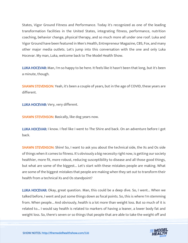States, Vigor Ground Fitness and Performance. Today it's recognized as one of the leading transformation facilities in the United States, integrating fitness, performance, nutrition coaching, behavior change, physical therapy, and so much more all under one roof. Luka and Vigor Ground have been featured in Men's Health, Entrepreneur Magazine, CBS, Fox, and many other major media outlets. Let's jump into this conversation with the one and only Luka Hocevar. My man, Luka, welcome back to The Model Health Show.

LUKA HOCEVAR: Man, I'm so happy to be here. It feels like it hasn't been that long, but it's been a minute, though.

**SHAWN STEVENSON:** Yeah, it's been a couple of years, but in the age of COVID, these years are different.

LUKA HOCEVAR: Very, very different.

SHAWN STEVENSON: Basically, like dog years now.

LUKA HOCEVAR: I know. I feel like I went to The Shire and back. On an adventure before I got back.

SHAWN STEVENSON: Shire! So, I want to ask you about the technical side, the Xs and Os side of things when it comes to fitness. It's obviously a big necessity right now, is getting our society healthier, more fit, more robust, reducing susceptibility to disease and all those good things, but what are some of the biggest... Let's start with these mistakes people are making. What are some of the biggest mistakes that people are making when they set out to transform their health from a technical Xs and Os standpoint?

LUKA HOCEVAR: Okay, great question. Man, this could be a deep dive. So, I went... When we talked before, I went and put some things down as focal points. So, this is where I'm stemming from. When people... And obviously, health is a lot more than weight loss. But so much of it is related to... I would say health is related to markers of having a leaner, a lower body fat and weight loss. So, there's seven or so things that people that are able to take the weight off and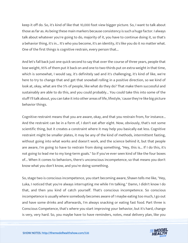keep it off do. So, it's kind of like that 10,000 foot view bigger picture. So, I want to talk about those as far as. As being these main markers because consistency is such a huge factor. I always talk about whatever you're going to do, majority of it, you have to continue doing it, so that's a behavior thing, it's in... It's who you become, it's an identity, it's like you do it no matter what. One of the first things is cognitive restrain, every person that...

And let's fall back just one quick second to say that over the course of three years, people that lose weight, 95% of them put it back on and one to two-thirds put on extra weight in that time, which is somewhat, I would say, it's definitely sad and it's challenging, it's kind of like, we're here to try to change that and get that snowball rolling in a positive direction, so we kind of look at, okay, what are the 5% of people, like what do they do? That make them successful and sustainably are able to do this, and you could probably... You could take this into some of the stuff I'll talk about, you can take it into other areas of life, lifestyle, 'cause they're like big picture behavior things.

Cognitive restraint means that you are aware, okay, and that you restrain from, for instance... And the restraint can be in a form of, I don't eat after eight. Now, obviously, that's not some scientific thing, but it creates a constraint where it may help you basically eat less. Cognitive restraint might be smaller plates, it may be any of the kind of methods, intermittent fasting, without going into what works and doesn't work, and the science behind it, but that people are aware, I'm going to have to restrain from doing something, "Hey, this is... If I do this, it's not going to lead me to my long-term goals." So if you've ever seen kind of like the four boxes of... When it comes to behaviors, there's unconscious incompetence, so that means you don't know what you don't know, and you're doing something.

So, stage two is conscious incompetence, you start becoming aware, Shawn tells me like, "Hey, Luka, I noticed that you're always interrupting me while I'm talking." Damn, I didn't know I do that, and then you kind of catch yourself. That's conscious incompetence. So conscious incompetence is usually where somebody becomes aware of I maybe eating too much, I go out and have some drinks and afterwards, I'm always snacking or eating fast food. Part three is Conscious Competence, that's where you start improving your behavior, but it's hard, change is very, very hard. So, you maybe have to have reminders, notes, meal delivery plan, like you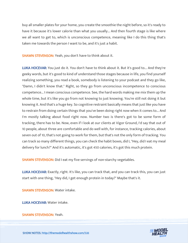buy all smaller plates for your home, you create the smoothie the night before, so it's ready to have it because it's lower calorie than what you usually... And then fourth stage is like where we all want to get to, which is unconscious competence, meaning like I do this thing that's taken me towards the person I want to be, and it's just a habit.

SHAWN STEVENSON: Yeah, you don't have to think about it.

LUKA HOCEVAR: You just do it. You don't have to think about it. But it's good to... And they're geeky words, but it's good to kind of understand those stages because in life, you find yourself realizing something, you read a book, somebody is listening to your podcast and they go like, "Damn, I didn't know that." Right, so they go from unconscious incompetence to conscious competence... I mean conscious competence. See, the hard words making me mix them up the whole time, but it's like you go from not knowing to just knowing. You're still not doing it but knowing it. And that's a huge key. So cognitive restraint basically means that just like you have to restrain from doing certain things that you've been doing right now when it comes to... And I'm mostly talking about food right now. Number two is there's got to be some form of tracking, there has to be. Now, even if I look at our clients at Vigor Ground, I'd say that out of 10 people, about three are comfortable and do well with, for instance, tracking calories, about seven out of 10, that's not going to work for them, but that's not the only form of tracking. You can track so many different things, you can check the habit boxes, did I, "Hey, did I eat my meal delivery for lunch?" And it's automatic, it's got 450 calories, it's got this much protein.

**SHAWN STEVENSON:** Did I eat my five servings of non-starchy vegetables.

LUKA HOCEVAR: Exactly, right. It's like, you can track that, and you can track this, you can just start with one thing, "Hey did, I get enough protein in today?" Maybe that's it.

SHAWN STEVENSON: Water intake.

LUKA HOCEVAR: Water intake.

SHAWN STEVENSON: Yeah.

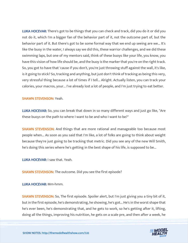LUKA HOCEVAR: There's got to be things that you can check and track, did you do it or did you not do it, which I'm a bigger fan of the behavior part of it, not the outcome part of, but the behavior part of it. But there's got to be some formal way that we end up seeing are we... It's like the buoy in the water, I always say we did this, these warrior challenges, and we did these swimming laps, but one of my mentors said, think of these buoys like your life, you know, you have this vision of how life should be, and the buoy is the marker that you're on the right track. So, you got to have that 'cause if you don't, you're just throwing stuff against the wall, it's like, is it going to stick? So, tracking and anything, but just don't think of tracking as being this very, very stressful thing because a lot of times if I tell... Alright. Actually listen, you can track your calories, your macros, your... I've already lost a lot of people, and I'm just trying to eat better.

#### SHAWN STEVENSON: Yeah.

LUKA HOCEVAR: So, you can break that down in so many different ways and just go like, "Are these buoys on the path to where I want to be and who I want to be?"

**SHAWN STEVENSON:** And things that are more rational and manageable too because most people when... As soon as you said that I'm like, a lot of folks are going to think about weight because they're just going to be tracking that metric. Did you see any of the new Will Smith, he's doing this series where he's getting in the best shape of his life, is supposed to be...

LUKA HOCEVAR: I saw that. Yeah.

SHAWN STEVENSON: The outcome. Did you see the first episode?

LUKA HOCEVAR: Mm-hmm.

SHAWN STEVENSON: So, The first episode. Spoiler alert, but I'm just giving you a tiny bit of it, but in the first episode, he's demonstrating, he showing, he's got... He's in the worst shape that he's ever been, he's demonstrating that, and he gets to work, so he's getting after it, lifting, doing all the things, improving his nutrition, he gets on a scale pre, and then after a week, he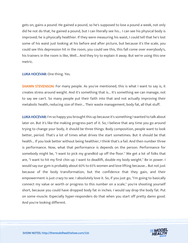gets on, gains a pound. He gained a pound, so he's supposed to lose a pound a week, not only did he not do that, he gained a pound, but I can literally see his... I can see his physical body is improved; he is physically healthier. If they were measuring his waist, I could tell that he's lost some of his waist just looking at his before and after picture, but because it's the scale, you could see this depression hit in the room, you could see this, this fall come over everybody's, his trainers in the room is like, Well... And they try to explain it away. But we're using this one metric.

#### LUKA HOCEVAR: One thing. Yes.

SHAWN STEVENSON: For many people. As you've mentioned, this is what I want to say is, it creates stress around weight. And it's something that is... It's something we can manage, not to say we can't. So many people put their faith into that and not actually improving their metabolic health, reducing size of their... Their waste management, body fat, all that stuff.

LUKA HOCEVAR: I'm so happy you brought this up because it's something I wanted to talk about later on. But it's like the making progress part of it. So, I believe that any time you go around trying to change your body, it should be three things. Body composition, people want to look better, period. That's a lot of times what drives the start sometimes. But it should be that health... If you look better without being healthier, I think that's a fail. And then number three is performance. Now, what that performance is depends on the person. Performance for somebody might be, "I want to pick my grandkid up off the floor." We get a lot of folks that are, "I want to hit my first chin up. I want to deadlift, double my body weight." Be in power. I would say our gym is probably about 60% to 65% women and love lifting because... But not just because of the body transformation, but the confidence that they gain, and their empowerment is just crazy to see. I absolutely love it. So, if you just go, "I'm going to basically connect my value or worth or progress to this number on a scale," you're shooting yourself short, because you could have dropped body fat in inches. I would say drop the body fat. Put on some muscle. Especially hyper-responders do that when you start off pretty damn good. And you're looking different.

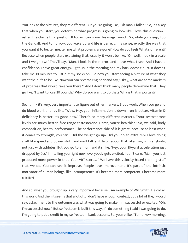You look at the pictures, they're different. But you're going like, "Oh man, I failed." So, it's a key that when you start, you determine what progress is going to look like. I love this question. I ask all the clients this question. If today I can wave this magic wand... So, while you sleep, I do the Gandalf. And tomorrow, you wake up and life is perfect, in a sense, exactly the way that you want it to be, tell me, tell me what problems are gone? How do you feel? What's different? Because when people start explaining that, usually it won't be like, "Oh well, I look in a scale and I weigh xyz." They'll say, "Man, I look in the mirror, and I love what I see. And I have a confidence. I have great energy. I get up in the morning and my back doesn't hurt. It doesn't take me 10 minutes to just put my socks on." So now you start seeing a picture of what they want their life to be like. Now you can reverse engineer and say, "Okay, what are some markers of progress that would take you there?" And I don't think many people determine that. They go like, "I want to lose 20 pounds." Why do you want to do that? Why is that important?

So, I think it's very, very important to figure out other markers. Blood work. When you go and do blood work and it's like, "Wow. Hey, your inflammation is down. Iron is better. Vitamin D deficiency is better. It's good now." There's so many different markers. "Your testosterone levels are much better, free-range testosterone. Damn, you're healthier." So, we said, body composition, health, performance. The performance side of it is great, because at least when it comes to strength, you can... Did the weight go up? Did you do an extra rep? I love doing stuff like speed and power stuff, and we'll talk a little bit about that later too, with anybody, not just with athletes. But you go to a mom and it's like, "Hey, your 10-yard acceleration just dropped by 0.2." I'm telling you right now, everybody gets excited. I don't care, "Man, you just produced more power in that. Your VBT score... " We have this velocity-based training stuff that we do. You can see it improve. People love improvement. It's part of the intrinsic motivator of human beings, like incompetence. If I become more competent, I become more fulfilled.

And so, what you brought up is very important because... An example of Will Smith. He did all this work. And then it seems that a lot of... I don't have enough context, but a lot of the, I would say, attachment to the outcome was what was going to make him successful or excited. "Oh, I'm successful now." But self-esteem is built this way. If I do something I said I was going to do, I'm going to put a credit in my self-esteem bank account. So, you're like, "Tomorrow morning,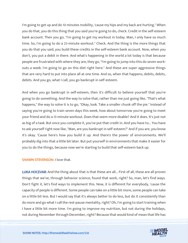I'm going to get up and do 10 minutes mobility, 'cause my hips and my back are hurting." When you do that, you do this thing that you said you're going to do, check. Credit in the self-esteem bank account. Then you go, "I'm going to get my workout in today. Man, I only have so much time. So, I'm going to do a 25-minute workout." Check. And the thing is the more things that you do that you said, you build these credits in the self-esteem bank account. Now, when you don't, you put a debit in there. And what's happening in the world a lot today is that because people are frustrated with where they are, they go, "I'm going to jump into this do seven workouts a week. I'm going to go on this diet right here." And these are super aggressive things that are very hard to put into place all at one time. And so, when that happens, debits, debits, debits. And you go, what I call, you go bankrupt in self-esteem.

And when you go bankrupt in self-esteem, then it's difficult to believe yourself that you're going to do something. And the way to solve that, rather than me just going like, "That's what happens," the way to solve it is to go, "Okay, look. Take a smaller chunk off the pie." Instead of saying you're going to train seven days this week, how about tomorrow you're going to meet your friend and do a 15-minute workout. Does that seem more doable? And it does. It's just not as big of a task. But once you complete it, you've put that credit in. And you have to... You have to ask yourself right now like, "Man, are you bankrupt in self-esteem?" And if you are, you know it's okay. 'Cause here's how you build it up. And there's the power of environments. We'll probably dig into that a little bit later. But put yourself in environments that make it easier for you to do the things, because now we're starting to build that self-esteem back up.

#### SHAWN STEVENSON: I love that.

LUKA HOCEVAR: And the thing about that is that these are all... First of all, these are all proven things that we've, through behavior science, found that work, right? So, man, let's find ways. Don't fight it, let's find ways to implement this. Now, it is different for everybody, 'cause the capacity of people is different. Some people can take on a little bit more, some people can take on a little bit less. But I would say that it's always better to do less, but do it consistently than do more and go what I call the rest-pause mentality, right? Oh, I'm going to start training when I have a little bit more time. I'm going to improve my nutrition, but not during the holidays, not during November through December, right? Because that would kind of mean that life has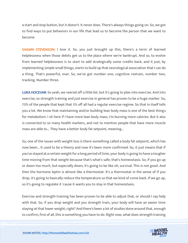a start and stop button, but it doesn't. It never does. There's always things going on. So, we got to find ways to put behaviors in our life that lead us to become the person that we want to become.

**SHAWN STEVENSON:** I love it. So, you just brought up this, there's a term of learned helplessness when those debits get us to the place where we're bankrupt. And so, to evolve from learned helplessness is to start to add strategically some credits back, and it just, by implementing simple small things, starts to build up that neurological association that I can do a thing. That's powerful, man. So, we've got number one, cognitive restrain, number two, tracking. Number three.

LUKA HOCEVAR: So yeah, we veered off a little bit, but it's going to plan into exercise. And into exercise, so strength training and just exercise in general has proven to be a huge marker. So, 70% of the people that kept that 5% off all had a regular exercise regime. So that in itself tells you a lot. We know that maintaining and/or building lean body mass is one of the best things for metabolism. I sit here if I have more lean body mass, I'm burning more calories. But it also is connected to so many health markers, and not to mention people that have more muscle mass are able to... They have a better body fat setpoint, meaning...

So, one of the issues with weight loss is there something called a body fat setpoint, which has now been... It used to be a theory and now it's been more confirmed. So, it just means that if you've stayed at a certain weight for a long period of time, your body is going to have a tougher time moving from that weight because that's what's safe, that's homeostasis. So, if you go up or down too much, but especially down, it's going to be like oh, survival. This is not good. And then the hormone leptin is almost like a thermostat. It's a thermostat in the sense of if you drop, it's going to basically reduce the temperature so that we kind of come back. If we go up, so it's going to regulate it 'cause it wants you to stay in that homeostasis.

Exercise and strength training has been proven to be able to adjust that, or should I say help with that. So, if you drop weight and you strength train, your body will have an easier time staying at that lower weight, right? And there's been a lot of studies done around that, enough to confirm, first of all, this is something you have to do. Right now, what does strength training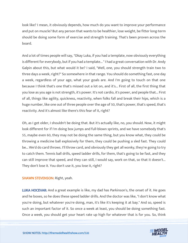look like? I mean, it obviously depends, how much do you want to improve your performance and put on muscle? But any person that wants to be healthier, lose weight, be fitter long-term should be doing some form of exercise and strength training. That's been proven across the board.

And a lot of times people will say, "Okay Luka, if you had a template, now obviously everything is different for everybody, but if you had a template... " I had a great conversation with Dr. Andy Galpin about this, but what would it be? I said, "Well, one, you should strength train two to three days a week, right?" So somewhere in that range. You should do something fast, one day a week, regardless of your age, what your goals are. And I'm going to touch on that one because I think that's one that's missed out a lot on, and it's... First of all, the first thing that you lose as you age is not strength, it's power. It's not cardio, it's power, and people that... First of all, things like agility, quickness, reactivity, when folks fall and break their hips, which is a huge number, like one out of three people over the age of 50, that's power, that's speed, that's reactivity. And it's almost like there's this fear of it, right?

Oh, as I get older, I shouldn't be doing that. But it's actually like, no, you should. Now, it might look different for if I'm doing box jumps and full-blown sprints, and we have somebody that's 55, maybe even 60, they may not be doing the same thing, but you know what, they could be throwing a medicine ball explosively for them, they could be pushing a sled fast. They could be... We'd do card throws. I'll throw card, and obviously they get all wonky, they're going to try to catch them. Tennis ball drills, speed ladder drills, for them, that's going to be fast, and they can still improve that speed, and they can still, I would say, work on that, so that it doesn't... They don't lose it. You don't use it, you lose it, right?

#### SHAWN STEVENSON: Right, yeah.

LUKA HOCEVAR: And a great example is like, my dad has Parkinson's, the onset of it. He goes and he boxes, so he does these speed ladder drills. And the doctor was like, "I don't know what you're doing, but whatever you're doing, man, it's like it's keeping it at bay." And so, speed is such an important factor of it. So once a week at least, you should be doing something fast. Once a week, you should get your heart rate up high for whatever that is for you. So, think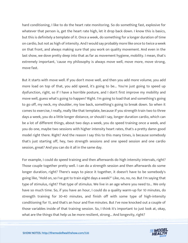hard conditioning, I like to do the heart rate monitoring. So do something fast, explosive for whatever that person is, get the heart rate high, let it drop back down. I know this is basics, but this is definitely a template of it. Once a week, do something for a longer duration of time on cardio, but not as high of intensity. And I would say probably more like once to twice a week on that front, and always making sure that you work on quality movement. And even in the last show, we dove pretty deep into that as far as movement hygiene, mobility. I mean, that's extremely important, 'cause my philosophy is always move well, move more, move strong, move fast.

But it starts with move well. If you don't move well, and then you add more volume, you add more load on top of that, you add speed, it's going to be... You're just going to speed up dysfunction, right, so if I have a horrible posture, and I don't first improve my mobility and move well, guess what's going to happen? Right. I'm going to load that and something's going to go off, my neck, my shoulder, my low back, something's going to break down. So when it comes to exercise, I really, really like that template, because if you strength train two to three days a week, you do a little longer distance, or should I say, longer duration cardio, which can be a lot of different things, about two days a week, you do speed training once a week, and you do one, maybe two sessions with higher intensity heart rates, that's a pretty damn good model right there. Right? And the reason I say this to this many times, is because somebody that's just starting off, hey, two strength sessions and one speed session and one cardio session, great? And you can do it all in the same day.

For example, I could do speed training and then afterwards do high intensity intervals, right? Those couple together pretty well. I can do a strength session and then afterwards do some longer duration, right? There's ways to piece it together, it doesn't have to be somebody's going like, "Hold on, so I've got to train eight days a week?" Like, no, no, no. But I'm saying that type of stimulus, right? That type of stimulus. We live in an age where you need to... We only have so much time. So, if you have an hour, I could do a quality warm-up for 10 minutes, do strength training for 30-40 minutes, and finish off with some type of high-intensity conditioning for 15, and that's an hour and five minutes. But I've now knocked out a couple of those variables inside of that training session. So, I think it's important to just look at, okay, what are the things that help us be more resilient, strong... And longevity, right?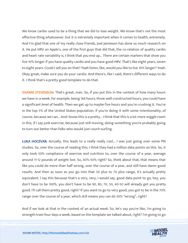We know cardio used to be a thing that we did to lose weight. We know that's not the most effective thing whatsoever, but it is extremely important when it comes to health, extremely. And I'm glad that one of my really close friends, Joel Jamieson has done so much research on it. He put HRV on Apple's, one of the first guys that did that, the co-relation of quality cardio and heart rate variability is, I think that you end up... There are certain markers that show you live 10% longer if you have quality cardio and you have good HRV. That's like eight years, seven to eight years. Could I sell you on that? Yeah listen, like, would you like to live 10% longer? Yeah. Okay great, make sure you do your cardio. And there's, like I said, there's different ways to do it. I think that's a pretty good template to do that.

**SHAWN STEVENSON:** That's great, man. So, if you put this in the context of how many hours we have in a week, for example, being 168 hours, three well-constructed hours, you could have a significant level of health. Then we get up to maybe five hours and you're crushing it. You're in the top 5% of the United States population, if you're doing it with some intentionality, of course, because we can... And I know this is a pretty... I think that this is a lot more wiggle room in this, if I say junk exercise, because just still moving, doing something you're probably going to turn out better than folks who would just couch-surfing.

LUKA HOCEVAR: Actually, this leads to a really really cool... I was just going over some PN studies. So, over the course of reading this, I think they had a million data points on this. So, it only took 50% compliance of exercise and nutrition to, over the course of a year, average around 11-12 pounds of weight lost. So, 40%-50% right? So, think about that, that means that like you could do more than half wrong, over the course of a year, and still have damn good results. And then as soon as you go into that 50 plus to 70 plus range, it's actually pretty equivalent. I say this because that's a very, very, I would say, good data point to go, hey, you don't have to be 100%, you don't have to be 90, 80, 70, 50, 40-50 will already get you pretty good. I'll call them pretty good, right? If you want to go to very good, you got to be in the 70% range over the course of a year, which still means you can do 30% "wrong", right?

And if we look at that in the context of an actual week. So, let's say you're like, I'm going to strength train four days a week, based on the template we talked about, right? I'm going to go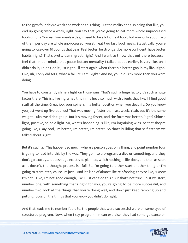to the gym four days a week and work on this thing. But the reality ends up being that like, you end up going twice a week, right, you say that you're going to eat more whole unprocessed foods, right? You eat four meals a day, it used to be a lot of fast food, but now only about two of them per day are whole unprocessed, you still eat two fast food meals. Statistically, you're going to lose over 10 pounds that year. Feel better, be stronger, be more confident, have better habits, right? That's pretty damn great, right? And I want to throw that out there because I feel that, in our minds, that pause button mentality I talked about earlier, is very like, uh, I didn't do it, I didn't do it just right. I'll start again when there's a better gap in my life. Right? Like, uh, I only did 60%, what a failure I am. Right? And no, you did 60% more than you were doing.

You have to constantly shine a light on those wins. That's such a huge factor, it's such a huge factor there. This is... I've ingrained this in my head so much with clients that like, I'll find good stuff all the time. Great job, your spine is in a better position when you deadlift. Do you know you just went up five pounds? That was moving faster than last week. Yeah, but it's the same weight, Luka, we didn't go up. But it's moving faster, and the form was better. Right? Shine a light, positive, shine a light. So, what's happening is like, I'm ingraining wins, so that they're going like, Okay cool, I'm better, I'm better, I'm better. So that's building that self-esteem we talked about, right.

But it's such a... This happens so much, where a person goes on a thing, and point number four is going to lead into this by the way. They go into a program, a diet or something, and they don't go exactly... It doesn't go exactly as planned, which nothing in life does, and then as soon as it doesn't, the thought process is I fail. So, I'm going to either start another thing or I'm going to start later, 'cause I'm just... And it's kind of almost like reinforcing, they're like, "I knew I'm not... Like, I'm not good enough, like I just can't do this." But that's not true. So, if we start, number one, with something that's right for you, you're going to be more successful, and number two, look at the things that you're doing well, and don't just keep ramping up and putting focus on the things that you know you didn't do right.

And that leads me to number four. So, the people that were successful were on some type of structured program. Now, when I say program, I mean exercise, they had some guidance on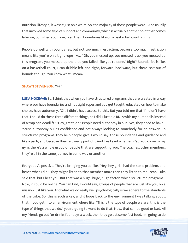nutrition, lifestyle, it wasn't just on a whim. So, the majority of those people were... And usually that involved some type of support and community, which is actually another point that comes later on, but when you have, I call them boundaries like on a basketball court, right?

People do well with boundaries, but not too much restriction, because too much restriction means like you're on a tight rope like... "Oh, you messed up, you messed it up, you messed up this program, you messed up the diet, you failed, like you're done." Right? Boundaries is like, on a basketball court, I can dribble left and right, forward, backward, but there isn't out of bounds though. You know what I mean?

#### SHAWN STEVENSON: Yeah.

LUKA HOCEVAR: So, I think that when you have structured programs that are created in a way where you have boundaries and not tight ropes and you get taught, educated on how to make choice, have autonomy. "Oh, I didn't have access to this. But you told me that if I didn't have that, I could do these three different things, so I did, I just did RDLs with my dumbbells instead of a trap bar, deadlift." "Hey, great job." People need autonomy in our lives, they need to have... 'cause autonomy builds confidence and not always looking to somebody for an answer. So structured programs, they help people give, I would say, those boundaries and guidance and like a path, and because they're usually part of... And like I said whether it's... You come to my gym, there's a whole group of people that are supporting you. The coaches, other members, they're all in the same journey in some way or another.

Everybody's positive. They're bringing you up like, "Hey, hey girl, I had the same problem, and here's what I did." They might listen to that member more than they listen to me. Yeah, Luka said that, but I hear you. But that was a huge, huge, huge factor, which structured programs... Now, it could be online. You can find, I would say, groups of people that are just like you, on a mission just like you. And what we do really well psychologically is we adhere to the standards of the tribe. So, this is such a key, and it loops back to the environment I was talking about, that if you get into an environment where like, "This is the type of people we are, this is the type of things that we do," you're going to want to do that. Now, that can be good or bad. All my friends go out for drinks four days a week, then they go eat some fast food. I'm going to do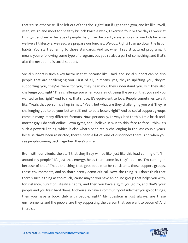that 'cause otherwise I'll be left out of the tribe, right? But if I go to the gym, and it's like, "Well, yeah, we go and meet for healthy brunch twice a week, I exercise four or five days a week at this gym, and we're the type of people that, fill in the blank, are examples for our kids because we live a fit lifestyle, we read, we prepare our lunches. We do... Right? I can go down the list of habits. You start adhering to those standards. And so, when I say structured programs, it means you're following some type of program, but you're also a part of something, and that's also the next point, is social support.

Social support is such a key factor in that, because like I said, and social support can be also people that are challenging you. First of all, it means, yes, they're uplifting you, they're supporting you, they're there for you, they hear you, they understand you. But they also challenge you, right? They challenge you when you are not being the person that you said you wanted to be, right? And to me, that's love. It's equivalent to love. People sometimes take it like, "Yeah, that person is all up in my..." Yeah, but what are they challenging you on? They're challenging you to be your better self, not to be a lesser, right? And so social support groups come in many, many different formats. Now, personally, I always lead to this. I'm a brick-andmortar guy, I do stuff online, I own gyms, and I believe in skin-to-skin, face-to-face. I think it's such a powerful thing, which is also what's been really challenging in the last couple years, because that's been restricted, there's been a lot of kind of disconnect there. And when you see people coming back together, there's just a...

Even with our clients, the stuff that they'll say will be like, just like this load coming off, "I'm around my people." It's just that energy, helps them come in, they'll be like, "I'm coming in because of that." That's the thing that gets people to be consistent, those support groups, those environments, and so that's pretty damn critical. Now, the thing is, I don't think that there's such a thing as too much, 'cause maybe you have an online group that helps you with, for instance, nutrition, lifestyle habits, and then you have a gym you go to, and that's your people and you train hard there. And you also have a community outside that you go do things, then you have a book club with people, right? My question is just always, are these environments and the people, are they supporting the person that you want to become? And there's...

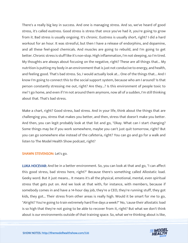There's a really big key in success. And one is managing stress. And so, we've heard of good stress, it's called eustress. Good stress is stress that once you've had it, you're going to grow from it. Bad stress is usually ongoing. It's chronic. Eustress is usually short, right? I did a hard workout for an hour. It was stressful, but then I have a release of endorphins, and dopamine, and all these feel-good chemicals. And muscles are going to rebuild, and I'm going to get better. Chronic stress is stuff like it's non-stop. High inflammation, I'm not sleeping, so I'm tired. My thoughts are always about focusing on the negative, right? These are all things that... My nutrition is putting my body in an environment that is just not conducive to energy, and health, and feeling good. That's bad stress. So, I would actually look at... One of the things that... And I know I'm going to connect this to the social support system, because who am I around? Is that person constantly stressing me out, right? Are they...? Is this environment of people toxic to me? I go home, and even if I'm not around them anymore, now all of a sudden, I'm still thinking about that. That's bad stress.

Make a chart, right? Good stress, bad stress. And in your life, think about the things that are challenging you, stress that makes you better, and then, stress that doesn't make you better. And then, you can legit probably look at that list and go, "Okay. What can I start changing? Some things may be if you work somewhere, maybe you can't just quit tomorrow, right? But you can go somewhere else instead of the cafeteria, right? You can go and go for a walk and listen to The Model Health Show podcast, right?

#### SHAWN STEVENSON: Let's go.

LUKA HOCEVAR: And be in a better environment. So, you can look at that and go, "I can affect this good stress, bad stress here, right?" Because there's something called Allostatic load. Geeky word. But it just means... It means it's all the physical, emotional, mental, even spiritual stress that gets put on. And we look at that with, for instance, with members, because if somebody comes in and have a 14-hour day job, they're a CEO, they're running stuff, they got kids, they got... Their stress from other areas is really high. Would it be smart for me to go, "Alright? You're going to train extremely hard five days a week?" No, 'cause their allostatic load is so high that they're not going to be able to recover from it, right? But what we don't think about is our environments outside of that training space. So, what we're thinking about is like,

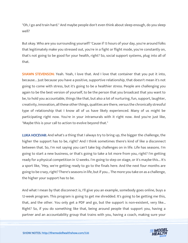"Oh, I go and train hard." And maybe people don't even think about sleep enough, do you sleep well?

But okay. Who are you surrounding yourself? 'Cause if 13 hours of your day, you're around folks that legitimately make you stressed out, you're in a fight or flight mode, you're constantly on, that's not going to be good for your health, right? So, social support systems, plug into all of that.

SHAWN STEVENSON: Yeah. Yeah, I love that. And I love that container that you put it into, because... Just because you have a positive, supportive relationship, that doesn't mean it's not going to come with stress, but it's going to be a healthier stress. People are challenging you again to be the best version of yourself, to be the person that you broadcast that you want to be, to hold you accountable, things like that, but also a lot of nurturing, fun, support, laughter, creativity, innovation, all these other things, qualities are there, versus the chronically stressful type of relationship that I know all of us have likely experienced. Many of us might be participating right now. You're in your intramurals with it right now. And you're just like, "Maybe this is your call to action to evolve beyond that."

LUKA HOCEVAR: And what's a thing that I always try to bring up, the bigger the challenge, the higher the support has to be, right? And I think sometimes there's kind of like a disconnect between that. So, I'm not saying you can't take big challenges on in life. Life has seasons. I'm going to start a new business, or that's going to take a lot more from you, right? I'm getting ready for a physical competition in 12 weeks. I'm going to step on stage, or it's maybe this... It's a sport like, "Hey, we're getting ready to go to the finals here. And the next four months are going to be crazy, right? There's seasons in life, but if you... The more you take on as a challenge, the higher your support has to be.

And what I mean by that disconnect is, I'll give you an example, somebody goes online, buys a 12-week program. This program is going to get me shredded. It's going to be getting me this, that, and the other. You only get a PDF and go, but the support is non-existent, very like... Right? So, if you do something like that, being around people that support you, having a partner and an accountability group that trains with you, having a coach, making sure your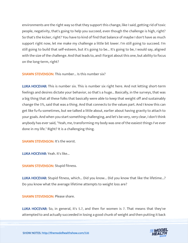environments are the right way so that they support this change, like I said, getting rid of toxic people, negativity, that's going to help you succeed, even though the challenge is high, right? So that's the kicker, right? You have to kind of find that balance of maybe I don't have as much support right now, let me make my challenge a little bit lower. I'm still going to succeed. I'm still going to build that self-esteem, but it's going to be... It's going to be, I would say, aligned with the size of the challenge. And that leads to, and I forgot about this one, but ability to focus on the long-term, right?

SHAWN STEVENSON: This number... Is this number six?

LUKA HOCEVAR: This is number six. This is number six right here. And not letting short-term feelings and desires dictate your behavior, so that's a huge... Basically, in the surveys, that was a big thing that all these folks that basically were able to keep that weight off and sustainably change the 5%, said that was a thing. And that connects to the values part. And I know this can get like fu-fu sometimes, but we talked a little about, earlier about having gravity to attach to your goals. And when you start something challenging, and let's be very, very clear, I don't think anybody has ever said, "Yeah, me, transforming my body was one of the easiest things I've ever done in my life." Right? It is a challenging thing.

SHAWN STEVENSON: It's the worst.

LUKA HOCEVAR: Yeah. It's like...

SHAWN STEVENSON: Stupid fitness.

LUKA HOCEVAR: Stupid fitness, which... Did you know... Did you know that like the lifetime...? Do you know what the average lifetime attempts to weight loss are?

SHAWN STEVENSON: Please share.

LUKA HOCEVAR: So, in general, it's 5.7, and then for women is 7. That means that they've attempted to and actually succeeded in losing a good chunk of weight and then putting it back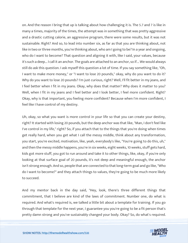on. And the reason I bring that up is talking about how challenging it is. The 5.7 and 7 is like in many a times, majority of the times, the attempt was in something that was pretty aggressive and a drastic cutting calorie, an aggressive program, there were some results, but it was not sustainable. Right? And so, to lead into number six, as far as that you are thinking about, not like in two or three months, you're thinking about, who am I going to be? In a year and ongoing, who do I want to become? That question and aligning it with, like I said, your values, because it's such a deep... I call it an anchor. The goals are attached to an anchor, so if... We would always still do ask this question. I ask myself this question a lot of time. If you say something like, "Oh, I want to make more money," or "I want to lose 20 pounds," okay, why do you want to do it? Why do you want to lose 20 pounds? I'm just curious, right? Well, I'll fit better in my jeans, and I feel better when I fit in my jeans. Okay, why does that matter? Why does it matter to you? Well, when I fit in my jeans and I feel better and I look better, I feel more confident. Right? Okay, why is that important, you feeling more confident? Because when I'm more confident, I feel like I have control of my destiny.

Uh, okay, so what you want is more control in your life so that you can create your destiny, right? It started with losing 20 pounds, but the deep anchor was that like, "Man, I don't feel like I've control in my life," right? So, if you attach that to the things that you're doing when times get really hard, when you get what I call the messy middle, think about any transformation, you start, you're excited, motivation, like, yeah, everybody's like, "You're going to do this, uh," and then the messy middle happens, you're in six weeks, eight weeks, 10 weeks, stuff gets hard, kids got more stuff, you got to run around and take it to other things, like, okay, if you're only looking at that surface goal of 20 pounds, it's not deep and meaningful enough, the anchor isn't strong enough. And so, people that are connected to that long-term goal and go like, "Who do I want to become?" and they attach things to values, they're going to be much more likely to succeed.

And my mentor back in the day said, "Hey, look, there's three different things that commitment, that I believe are kind of the laws of commitment. Number one, do what is required. And what's required is, we talked a little bit about a template for training. If you go through that template for the next year, I guarantee you you're going to be a fit person that's pretty damn strong and you've sustainably changed your body. Okay? So, do what's required.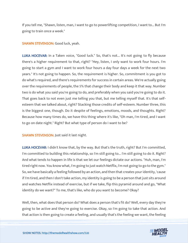If you tell me, "Shawn, listen, man, I want to go to powerlifting competition, I want to... But I'm going to train once a week."

SHAWN STEVENSON: Good luck, yeah.

LUKA HOCEVAR: In a Taken voice, "Good luck." So, that's not... It's not going to fly because there's a higher requirement to that, right? "Hey, listen, I only want to work four hours. I'm going to start a gym and I want to work four hours a day four days a week for the next two years." It's not going to happen. So, the requirement is higher. So, commitment is you got to do what's required, and there's requirements for success in certain areas. We're actually going over the requirements of people, the 5% that change their body and keep it that way. Number two is do what you said you're going to do, and preferably when you said you're going to do it. That goes back to not even just me telling you that, but me telling myself that. It's that selfesteem that we talked about, right? Stacking those credits of self-esteem. Number three, this is the biggest one, though. Do it despite of feelings, emotions, moods, and thoughts. Right? Because how many times do, we have this thing where it's like, "Oh man, I'm tired, and I want to go on date night." Right? But what type of person do I want to be?

**SHAWN STEVENSON: Just said it last night.** 

LUKA HOCEVAR: I didn't know that, by the way. But that's the truth, right? But I'm committed, I'm committed to building this relationship, so I'm still going to... I'm still going to do it. Right? And what tends to happen in life is that we let our feelings dictate our actions. "Huh, man, I'm tired right now. You know what, I'm going to just watch Netflix, I'm not going to go to the gym." So, we have basically a feeling followed by an action, and then that creates your identity, 'cause if I'm tired, and then I don't take action, my identity is going to be a person that just sits around and watches Netflix instead of exercise, but if we take, flip this pyramid around and go, "What identity do we want?" To me, that's like, who do you want to become? Okay?

Well, then, what does that person do? What does a person that's fit do? Well, every day they're going to be active and they're going to exercise. Okay, so I'm going to take that action. And that action is then going to create a feeling, and usually that's the feeling we want, the feeling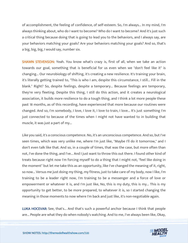of accomplishment, the feeling of confidence, of self-esteem. So, I'm always... In my mind, I'm always thinking about, who do I want to become? Who do I want to become? And it's just such a critical thing because doing that is going to lead you to the behaviors, and I always say, are your behaviors matching your goals? Are your behaviors matching your goals? And so, that's a big, big, big, I would say, number six.

SHAWN STEVENSON: Yeah. You know what's crazy is, first of all, when we take an action towards our goal, something that is beneficial for us even when we "don't feel like it" is changing... Our neurobiology of shifting, it's creating a new resilience. It's training your brain, it's literally getting trained to, "This is who I am, despite this circumstance, I still... Fill in the blank." Right? So, despite feelings, despite a temporary... Because feelings are temporary, they're very fleeting. Despite this thing, I still do this action, and it creates a neurological association, it builds more resilience to do a tough thing, and I think a lot more people these past 18 months, as of this recording, have experienced that more because our routines were changed. And so, I'm somebody, I love, I love it, I love to train, I love... It's just something I'm just connected to because of the times when I might not have wanted to in building that muscle, it was just a part of my...

Like you said, it's a conscious competence. No, it's an unconscious competence. And so, but I've seen times, which was very unlike me, where I'm just like, "Maybe I'll do it tomorrow," and I don't even talk like that. And so, in a couple of times, that was the case, but more often than not, I've done the thing, and I've... And I just want to throw this out there. I found other kind of treats because right now I'm forcing myself to do a thing that I might not, "feel like doing in the moment" but let me take this as an opportunity, like I've changed the meaning of it, right, so now... Versus me just doing my thing, my fitness, just to take care of my body, now I like, I'm training to be a leader right now, I'm training to be a messenger and a force of love or empowerment or whatever it is, and I'm just like, No, this is my duty, this is my... This is my opportunity to get better, to be more prepared, to whatever it is, so I started changing the meaning in those moments to now where I'm back and just like, it's non-negotiable again.

LUKA HOCEVAR: See, that's... And that's such a powerful anchor because I think that people are... People are what they do when nobody's watching. And to me, I've always been like, Okay,

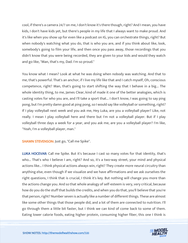cool, if there's a camera 24/7 on me, I don't know it's there though, right? And I mean, you have kids, I don't have kids yet, but there's people in my life that I always want to make proud. And it's like when you show up for even like a podcast on IG, you can orchestrate things, right? But when nobody's watching what you do, that is who you are, and if you think about like, look, somebody's going to film your life, and then once you pass away, those recordings that you didn't know that you were being recorded, they are given to your kids and would they watch and go like, "Man, that's my, Dad. I'm so proud."

You know what I mean? Look at what he was doing when nobody was watching. And that to me, that's powerful. That's an anchor, if I live my life like that and I catch myself, Oh, conscious competence, right? Man, that's going to start shifting the way that I behave in a big... The whole identity thing, to me, James Clear, kind of made it one of the better analogies, which is casting votes for who you are, and I'll take a sport that... I don't know, I was going to say ping pong, but I'm pretty damn good at ping pong, so I would say like volleyball or something, right? If I play volleyball next week and you ask me, Hey Luka, are you a volleyball player? Like, not really. I mean I play volleyball here and there but I'm not a volleyball player. But if I play volleyball three days a week for a year, and you ask me, are you a volleyball player? I'm like, "Yeah, I'm a volleyball player, man."

SHAWN STEVENSON: Just go, "Call me Spike".

LUKA HOCEVAR: Call me Spike. But it's because I cast so many votes for that identity, that's who... That's who I believe I am, right? And so, it's a two-way street, your mind and physical actions like... I think physical actions always win, right? They create more neural circuitry than anything else, even though if we visualize and we have affirmations and we ask ourselves the right questions, I think that is crucial, I think it's key. But nothing will change you more than the actions change you. And so that whole analogy of self-esteem is very, very critical, because how do you do the stuff that builds the credits, and when you do that, you'll believe that you're that person, right? Number seven is actually like a number of different things. These are almost like some other things that those people did, and a lot of them are connected to nutrition. I'll go through them a little bit faster, but I think we can kind of come back to some of them. Eating lower calorie foods, eating higher protein, consuming higher fiber, this one I think is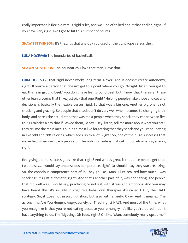really important is flexible versus rigid rules, and we kind of talked about that earlier, right? If you have very rigid, like I got to hit this number of counts...

**SHAWN STEVENSON:** It's the... It's that analogy you used of the tight rope versus the...

LUKA HOCEVAR: The boundaries of basketball.

**SHAWN STEVENSON: The boundaries. I love that man. I love that.** 

LUKA HOCEVAR: That rigid never works long-term. Never. And it doesn't create autonomy, right? If you're a person that doesn't get to a point where you go, "Alright, listen, you got to eat this lean ground beef," you don't have lean ground beef, but I know that there's all these other lean proteins that I like, just pick that one. Right? Helping people make those choices and decisions is basically the flexible versus rigid. So that was a big one. Another big one is not snacking and grazing. So people that snack don't do very well when it comes to changing their body, and here's the actual stat, that was most people when they snack, they eat between five to 700 calories a day that if I asked them, I'd say, "Hey, listen, tell me more about what you eat", they tell me the main meals but it's almost like forgetting that they snack and you're squeezing in like 500 and 700 calories, which adds up to a lot. Right? So, one of the huge successes that we've had when we coach people on the nutrition side is just cutting or eliminating snacks, right.

Every single time, success goes like that, right? And what's great is that once people get that, I would say... I would say unconscious competence, right? Or should I say they start realizing. So, the conscious competence part of it. They go like, "Man, I just realized how much I was snacking." It's just automatic, right? And that's another part of it, was not eating. The people that did well was, I would say, practicing to not eat with stress and emotions. And you may have heard this, it's usually in cognitive behavioral therapies it's called HALT, the HALT strategy. So, it goes not in just nutrition, but also with anxiety. Okay. And it means... The acronym is: Are You Hungry, Angry, Lonely, or Tired, right? HALT. And most of the time, what you recognize is that you're not eating because you're hungry. It's like you're bored. I don't have anything to do. I'm fidgeting. Oh food, right? Or like, "Man, somebody really upset me."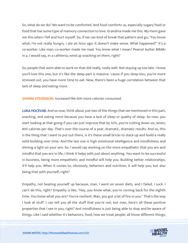So, what do we do? We want to be comforted. And food comforts us, especially sugary food or food that has some type of memory connection to love. Grandma made me this. My mom gave me this when I fell and hurt myself. So, if we can kind of break that pattern and go, "You know what, I'm not really hungry. I ate an hour ago. It doesn't make sense. What happened?" It's a co-worker. Like man, co-worker made me mad. You know what I mean? Peanut butter M&Ms in a, I would say, in a cafeteria, wind up snacking on them, right?

So, people that were able to work on that did really, really well. Not staying up too late. I know you'll love this one, but it's like the sleep part is massive. 'cause if you sleep less, you're more stressed out, you have more time to eat. Now, there's been a huge correlation between that lack of sleep and eating more.

SHAWN STEVENSON: Increased like 600 more calories consumed.

LUKA HOCEVAR: And so now, think about just two of the things that we mentioned in this part, snacking, and eating more because you have a lack of sleep or quality of sleep. So now, you start looking at that going if you can just improve that by 50%, you're cutting down six, seven, 800 calories per day. That's over the course of a year, dramatic, dramatic results. And so, this is the thing that I want to put out there, is it's these small bricks to stack up and build a really solid building over time. And the last one is high emotional intelligence and mindfulness and shining a light on your win. So, I would say working on the more empathetic that you are and mindful that you are in life, I think it helps with just about anything. You want to be successful in business, being more empathetic and mindful will help you. Building better relationships, it'll help you. When it comes to, obviously, behaviors and nutrition, it will help you, but also being that with yourself, right?

Empathy, not beating yourself up because, man, I went on seven diets, and I failed. I suck. I can't do this, right? Empathy is like, "Hey, you know what, you're coming back for the eighth time. You know what you are? You're resilient. Man, you got a lot of fire in you." That's the way I look at stuff. I can tell you all the stuff that you're not, but man, here's all these positive properties that I see in you, right? And mindfulness is just being able to stop and be aware of things. Like I said whether it's behaviors, food, how we treat people, all those different things,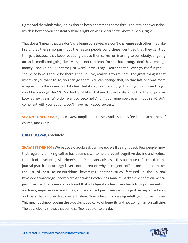right? And the whole wins, I think there's been a common theme throughout this conversation, which is how do you constantly shine a light on wins because we know it works, right?

That doesn't mean that we don't challenge ourselves, we don't challenge each other that, like I said, that there's no push, but the reason people build these identities that they can't do things is because they keep repeating that to themselves, or listening to somebody, or going on social media and going like, "Man, I'm not that lean. I'm not that strong. I don't have enough money. I should be... " That magical word I always say, "Don't shoot all over yourself, right?" I should be here. I should be there. I should... No, reality is you're here. The great thing is that wherever you want to go, you can go there. You can change that, so that last one was more wrapped into the seven, but I do feel that it's a good shining light on if you do those things, you'll be amongst the 5%. And look at it like whatever today's date is, look at the long-term. Look at next year. Who do I want to become? And if you remember, even if you're 40, 50% compliant with your actions, you'll have really good success.

SHAWN STEVENSON: Right. 40-50% compliant in these... And also, they feed into each other, of course, massively.

#### LUKA HOCEVAR: Absolutely.

SHAWN STEVENSON: We've got a quick break coming up. We'll be right back. Few people know that regularly drinking coffee has been shown to help prevent cognitive decline and reduce the risk of developing Alzheimer's and Parkinson's disease. This attribute referenced in the journal practical neurology is yet another reason why intelligent coffee consumption makes the list of best neuro-nutritious beverages. Another study featured in the Journal Psychopharmacology uncovered that drinking coffee has some remarkable benefits on mental performance. The research has found that intelligent coffee intake leads to improvements in alertness, improve reaction times, and enhanced performance on cognitive vigilance tasks, and tasks that involve deep concentration. Now, why am I stressing intelligent coffee intake? This means acknowledging the true U-shaped curve of benefits and not going ham on caffeine. The data clearly shows that some coffee, a cup or two a day.

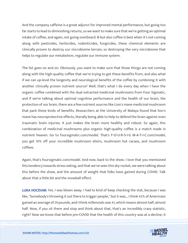And the company caffeine is a great adjunct for improved mental performance, but going too far starts to lead to diminishing returns, so we want to make sure that we're getting an optimal intake of coffee, and again, not going overboard. B-but also coffee is best when it's not coming along with pesticides, herbicides, rodenticides, fungicides, these chemical elements are clinically proven to destroy our microbiome terrain, so destroying the very microbiome that helps to regulate our metabolism, regulate our immune system.

The list goes on and on. Obviously, you want to make sure that those things are not coming along with the high-quality coffee that we're trying to get these benefits from, and also what if we can up-level the longevity and neurological benefits of the coffee by combining it with another clinically proven nutrient source? Well, that's what I do every day when I have the organic coffee combined with the dual extracted medicinal mushrooms from Four Sigmatic, and if we're talking about optimal cognitive performance and the health of our brain, the protection of our brain, there are a few nutrient sources like Lion's mane medicinal mushroom that pack these kinds of benefits. Researchers at the University of Malaya found that lion's mane has neuroprotective effects, literally being able to help to defend the brain against even traumatic brain injuries. It just makes the brain more healthy and robust. So again, this combination of medicinal mushrooms plus organic high-quality coffee is a match made in nutrient heaven. Go to foursigmatic.com/model. That's F-O-U-R-S-I-G M-A-T-I-C.com/model, you get 10% off your incredible mushroom elixirs, mushroom hot cacaos, and mushroom coffees.

Again, that's foursigmatic.com/model. And now, back to the show. I love that you mentioned this tendency towards stress eating, and that we've seen this sky-rocket, we were talking about this before the show, and the amount of weight that folks have gained during COVID. Talk about that a little bit and the snowball effect.

LUKA HOCEVAR: Yes. I was blown away. I had to kind of keep checking the stat, because I was like, "Somebody's throwing it out there to trigger people," but it was... I think 42% of Americans gained an average of 29 pounds, and I think millennials was 41, which means almost half, almost half. Now, if you sit there and stop and think about that, that's an incredibly crazy statistic, right? Now we know that before pre-COVID that the health of this country was at a decline, it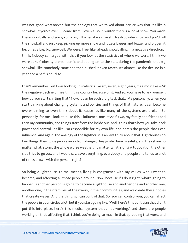was not good whatsoever, but the analogy that we talked about earlier was that it's like a snowball, if you've ever... I come from Slovenia, so in winter, there's a lot of snow. You made these snowballs, and you go on a big hill when it was like still fresh powder snow and you'd roll the snowball and just keep picking up more snow and it gets bigger and bigger and bigger, it becomes a big, big snowball. We were, I feel like, already snowballing in a negative direction, I think. Nobody can argue with that if you look at the statistics of where we were. I think we were at 42% obesity pre-pandemic and adding on to the stat, during the pandemic, that big snowball, like somebody came and then pushed it even faster. It's almost like the decline in a year and a half is equal to...

I can't remember, but I was looking up statistics like six, seven, eight years, it's almost like 4-5X the negative decline of health in this country because of it. And so, you have to ask yourself, how do you start shifting that? Now, it can be such a big task that... Me personally, when you start thinking about changing systems and policies and things of that nature, it can become overwhelming to even think about it, 'cause it's like many of the systems are broken. So personally, for me, I look at it like this, I influence, one, myself, two, my family and friends and then my community, and things start from the inside out. And I think that's how you take back power and control, it's like, I'm responsible for my own life, and here's the people that I can influence. And again, the analogy of the lighthouse, I always think about that. Lighthouses do two things, they guide people away from danger, they guide them to safety, and they shine no matter what, storm, the whole worse weather, no matter what, right? A tugboat on the other side tries to go out, and I would say, save everything, everybody and people and tends to a lot of times drown with the person, right?

So being a lighthouse, to me, means, living in congruence with my values, who I want to become, and affecting all those people around. Now, because if I do it right, what's going to happen is another person is going to become a lighthouse and another one and another one, another one, in their families, at their work, in their communities, and we create these ripples that create waves. And the thing is, I can control that. So, you can control you, you can affect the people in your circles a lot, but if you start going like, "Well, here's this politician that didn't put this into place, here's this medical system that's not working," and there are people working on that, affecting that. I think you're doing so much in that, spreading that word, and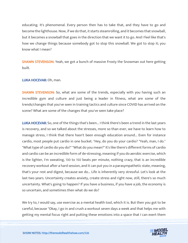educating. It's phenomenal. Every person then has to take that, and they have to go and become the lighthouse. Now, if we do that, it starts steamrolling, and it becomes that snowball, but it becomes a snowball that goes in the direction that we want it to go. And I feel like that's how we change things because somebody got to stop this snowball. We got to stop it; you know what I mean?

**SHAWN STEVENSON:** Yeah, we got a bunch of massive Frosty the Snowman out here getting built.

LUKA HOCEVAR: Oh, man.

**SHAWN STEVENSON:** So, what are some of the trends, especially with you having such an incredible gym and culture and just being a leader in fitness, what are some of the trends/changes that you've seen in training tactics and culture since COVID has arrived on the scene? What are some of the changes that you've seen take place?

LUKA HOCEVAR: So, one of the things that's been... I think there's been a trend in the last years is recovery, and so we talked about the stresses, more so than ever, we have to learn how to manage stress, I think that there hasn't been enough education around... Even for instance cardio, most people put cardio in one bucket. "Hey, do you do your cardio? "Yeah, man, I do." "What type of cardio do you do?" "What do you mean?" It's like there's different forms of cardio and cardio can be an incredible form of de-stressing, meaning if you do aerobic exercise, which is the lighter, I'm sweating, 130 to 150 beats per minute, nothing crazy, that is an incredible recovery workout after a hard session, and it can put you in a parasympathetic state, meaning, that's your rest and digest, because we do... Life is inherently very stressful. Let's look at the last two years. Uncertainty creates anxiety, create stress and right now, still, there's so much uncertainty. What's going to happen? If you have a business, if you have a job, the economy is so uncertain, and sometimes then what do we do?

We try to, I would say, use exercise as a mental health tool, which it is. But then you got to be careful, because "Okay, I go in and crush a workout seven days a week and that helps me with getting my mental focus right and putting these emotions into a space that I can exert them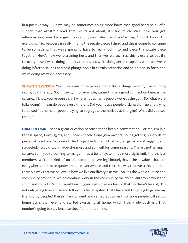in a positive way." But we may be sometimes doing more harm than good because all of a sudden that allostatic load that we talked about, it's too much. Well, now you got inflammation, your back gets blown out, can't sleep, and you're like, "I don't know, I'm exercising." So, recovery is really finding the puzzle pieces I think, and this is going to continue to be something that we're going to have to really look into and piece this puzzle piece together. Here's how we're training here, and then we're also... Yes, this is exercise, but it's recovery-based, we're doing mobility circuits, and we're doing aerobic capacity work, and we're doing infrared saunas and cold plunge pools in certain scenarios and so on and so forth and we're doing IVs when necessary.

SHAWN STEVENSON: Yeah, I've seen more people doing those things recently like utilizing sauna, cold therapy. So, in the gym for example, 'cause this is a good connection here, is the culture... I know you've seen a shift where not as many people were at the gym. So, what were folks doing? I mean do people just kind of... Did you notice people picking stuff up and trying to do stuff at home or people trying to segregate themselves at the gym? What did you see change?

LUKA HOCEVAR: That's a great question because that's been a conversation. For me, I'm in a fitness space, I own gyms, and I coach coaches and gym owners, so it's getting hundreds of pieces of feedback. So, one of the things I've found is that bigger gyms are struggling and struggled, I would say, maybe the most and still will for some reasons. There's not as much culture, so if you're coming to my gym, it's a belief system, it's more tight knit, there's less members, we're all kind of on the same boat. We legitimately have these values that are everywhere, and these quotes that are everywhere, and there's a way that we train, and then there's a way that we believe in how we live our lifestyle as well. So, it's the whole culture and community around it. We do combine work in the community, we do philanthropic work and so on and so forth. With, I would say, bigger gyms, there's less of that, so there's less of, "I'm not only going to exercise and follow this belief system that I have, but I'm going to go see my friends, my people," there's like you went and rented equipment, so more people will set up home gyms than ever and started exercising at home, which I think obviously is... That number's going to stay because they found that online.

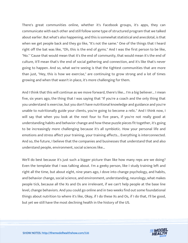There's great communities online, whether it's Facebook groups, it's apps, they can communicate with each other and still follow some type of structured program that we talked about earlier. But what's also happening, and this is somewhat statistical and anecdotal, is that when we get people back and they go like, "It's not the same." One of the things that I heard right off the bat was like, "Oh, this is the end of gyms." And I was the first person to be like, "No." 'Cause that would mean that it's the end of community, that would mean it's the end of culture, it'll mean that's the end of social gathering and connection, and it's like that's never going to happen. And so, what we're seeing is that the tightest communities that are more than just, "Hey, this is how we exercise," are continuing to grow strong and a lot of times growing and when that wasn't in place, it's more challenging for them.

And I think that this will continue as we move forward, there's like... I'm a big believer... I mean five, six years ago, the thing that I was saying that "If you're a coach and the only thing that you understand is exercise, but you don't have nutritional knowledge and guidance and you're unable to nutritionally guide your clients, you're going to become a relic." And I think now, I will say that when you look at the next four to five years, if you're not really good at understanding habits and behavior change and how these puzzle pieces fit together, it's going to be increasingly more challenging because it's all symbiotic. How your personal life and emotions and stress affect your training, your training affects... Everything is interconnected. And so, the future, I believe that the companies and businesses that understand that and also understand people, environment, social sciences like...

We'll do best because it's just such a bigger picture than like how many reps are we doing? Even the template that I was talking about. I'm a geeky person, like I study training left and right all the time, but about eight, nine years ago, I dove into change psychology, and habits, and behavior change, social science, and environment, understanding, neurology, what makes people tick, because all the Xs and Os are irrelevant, if we can't help people at the base line level, change behaviors. And you could go online and in two weeks find out some foundational things about nutrition to where it's like, Okay, if I do these Xs and Os, if I do that, I'll be good, but yet we still have the most declining health in the history of the US.

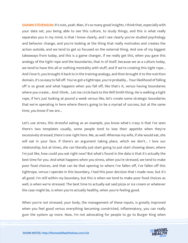**SHAWN STEVENSON:** It's nuts, yeah. Man, it's so many good insights. I think that, especially with your data set, you being able to see this culture, to study things, and this is what really separates you in my mind, is that I know clearly, and I see clearly you've studied psychology and behavior change, and you're looking at the thing that really motivates and creates the action outside, and we tend to get so focused on the external thing. And one of my biggest takeaways from today, and this is a game changer, if we really get this, when you gave this analogy of the tight rope and the boundaries, that in of itself, because we as a culture today, we tend to have this all or nothing mentality with stuff, and if we're creating this tight rope... And I love it, you brought it back to in the training analogy, and then brought it to the nutrition domain, it's so easy to fall off. You've got a tightrope, you're probably... Your likelihood of falling off is so great and what happens when you fall off, like that's it, versus having boundaries where you create... And I think... Let me circle back to the Will Smith thing. He is walking a tight rope, if he's just looking at pound a week versus like, let's create some strategic boundaries that we're operating in here where there's going to be a myriad of success, but at the same time, you know if we are...

Let's use stress, this stressful eating as an example, you know what's crazy is that I've seen there's two templates usually, some people tend to lose their appetite when they're excessively stressed, there's one right here. Me, as well. Whereas my wife, if she would eat, she will eat in your face. If there's an argument taking place, which we don't... I love our relationship, but at times, she can literally just start going to just start chowing down, where I'm just like, how could you eat right now? But what's found in the data is that it's actually the best time for you. And what happens when you stress, when you're stressed, we tend to make poor food choices, and that can be that opening to where I've fallen off, I've fallen off this tightrope, versus I operate in this boundary, I had this poor decision that I made now, but it's all good. I'm still within my boundary, but this is when we tend to make poor food choices as well, is when we're stressed. The best time to actually eat said pizza or ice cream or whatever the case might be, is when you're actually healthy, when you're feeling good.

When you're not stressed, your body, the management of these inputs, is greatly improved when you feel good versus everything becoming constricted, inflammatory, you can really gum the system up more. Now, I'm not advocating for people to go to Burger King when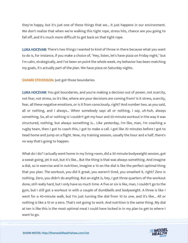they're happy, but it's just one of these things that we... It just happens in our environment. We don't realize that when we're walking this tight rope, stress hits, chance are you going to fall off, and it's much more difficult to get back on that tight rope.

LUKA HOCEVAR: There's two things I wanted to kind of throw in there because what you want to do is, for instance, if you make a choice of, "Hey, listen, let's have pizza on Friday night," but I'm calm, strategically, and I've been on point the whole week, my behavior has been matching my goals, it's actually part of the plan. We have pizza on Saturday nights.

SHAWN STEVENSON: Just got those boundaries.

LUKA HOCEVAR: You got boundaries, and you're making a decision out of power, not scarcity, not fear, not stress, so it's like, where are your decisions are coming from? Is it stress, scarcity, fear, all these negative emotions, or is it from consciously, right? And number two, as you said, all or nothing, and I always... When somebody says all or nothing, I say, uh-huh, always something. So, all or nothing is I couldn't get my hour and 20-minute workout in the way it was structured, nothing, but always something is... Like yesterday, I'm like, man, I'm coaching a rugby team, then I got to coach this, I got to make a call. I got like 30 minutes before I got to head home and jump on a flight. Now, my training session, usually the hour and a half, there's no way that's going to happen.

What do I do? I actually went home in my living room, did a 30-minute bodyweight session, got a sweat going, jet it out, but it's like... But the thing is that was always something. And imagine a dial, so in exercise and in nutrition, imagine a 10 on the dial is like the perfect optimal thing that you plan. The workout, you did it great, you weren't tired, you smashed it, right? Zero is nothing. Zero, you didn't do anything. But an eight is, hey, I got three quarters of the workout done, still really hard, but I only have so much time. A five or six is like, man, I couldn't go to the gym, but I still got a workout in with a couple of dumbbells and bodyweight. A three is like I went for a 40-minute walk, but I'm just turning the dial from 10 to one, and it's like... All or nothing is like a 10 or a zero. That's not going to work. And nutrition is the same thing. My dial at ten is like this is the most optimal meal I could have locked in in my plan to get to where I want to go.

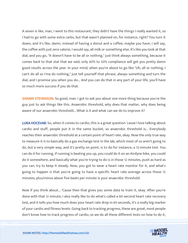A seven is like, man, I went to this restaurant, they didn't have the things I really wanted it, so I had to go with some extra carbs, but that wasn't planned on, for instance, right? You turn it down, and it's like, damn, instead of having a donut and a coffee, maybe you have, I will say, the coffee with just zero calorie, I would say, all milk or something else. It's like you look at that dial, and you go, "It doesn't have to be all or nothing," just think always something, because it comes back to that stat that we said, only 40% to 50% compliance will get you pretty damn good results across the year. In your mind, when you're about to go like "Uh, all or nothing, I can't do all so I'ma do nothing," just tell yourself that phrase, always something and turn the dial, and I promise you when you do... And you can do that in any part of your life, you'll have so much more success if you do that.

SHAWN STEVENSON: So good, man. I got to ask you about one more thing because you're the guy just to ask things like this. Anaerobic threshold, why does that matter, why does being aware of our anaerobic threshold... What is it and what can we do to improve it?

LUKA HOCEVAR: So, when it comes to cardio, this is a great question 'cause I love talking about cardio and stuff, people put it in the same bucket, so anaerobic threshold is... Everybody reaches their anaerobic threshold at a certain point of heart rate, okay. Now the only true way to measure it is to basically do a gas exchange test in the lab, which most of us aren't going to do, but a very simple way, and it's pretty on point, is to do for instance, a 12-minute test. You can do it for running, if running is beating you up, you could do it on an Airdyne bike, you could do it somewhere, and basically what you're trying to do is in those 12 minutes, push as hard as you can, try to keep it steady. Now, you got to wear a heart rate monitor for it, and what's going to happen is that you're going to have a specific heart rate average across those 12 minutes, plus/minus about five beats per minute is your anaerobic threshold.

Now if you think about... 'Cause then that gives you some data to train it, okay. After you're done with that 12 minute, I also really like to do what's called a 60-second heart rate recovery test, and it tells you how much does your heart rate drop in 60 seconds, it's a really big marker of your cardio and fitness levels. Going back to tracking progress, these are great, most people don't know how to track progress of cardio, so we do all these different tests on how to do it,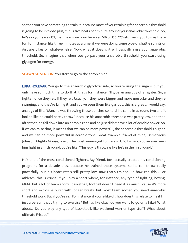so then you have something to train it, because most of your training for anaerobic threshold is going to be in those plus/minus five beats per minute around your anaerobic threshold. So, let's say yours was 171, that means we train between 166 or 176, 177-ish. I want you to stay there for, for instance, like three minutes at a time, if we were doing some type of shuttle sprints or Airdyne bikes or whatever else. Now, what it does is it will basically raise your anaerobic threshold. So, imagine that when you go past your anaerobic threshold, you start using glycogen for energy.

SHAWN STEVENSON: You start to go to the aerobic side.

LUKA HOCEVAR: You go to the anaerobic glycolytic side, so you're using the sugars, but you only have so much time to do that, that's for instance, I'll give an analogy of a fighter. So, a fighter, once they're... If they're... Usually, if they were bigger and more muscular and they're swinging, and they're killing it, and you've seen them like gas out, this is a great, I would say, analogy of like, "Man, he was throwing those punches so hard, he came in at round two and it looked like he could barely throw." Because his anaerobic threshold was pretty low, and then after that, he fell down into an aerobic zone and he just didn't have a lot of aerobic power. So, if we can raise that, it means that we can be more powerful, the anaerobic threshold's higher, and we can be more powerful in aerobic zone. Great example, friend of mine, Demetrious Johnson, Mighty Mouse, one of the most winningest fighters in UFC history. You've ever seen him fight in a fifth round, you're like, "This guy is throwing like he's in the first round."

He's one of the most conditioned fighters. My friend, Joel, actually created his conditioning programs for a decade plus, because he trained those systems so he can throw really powerfully, but his heart rate's still pretty low, now that's trained. So how can this... For athletes, this is crucial if you play a sport where, for instance, any type of fighting, boxing, MMA, but a lot of team sports, basketball, football doesn't need it as much, 'cause it's more short and explosive burst with longer breaks but most team soccer, you need anaerobic threshold work. But if you're in... For instance, if you're like oh, how does this relate to me if I'm just a person that's trying to exercise? But it's like okay, do you want to go on a hike? What about... Do you play any type of basketball, like weekend warrior type stuff? What about ultimate Frisbee?

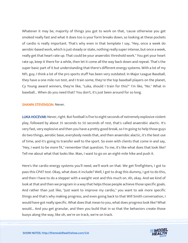Whatever it may be, majority of things you got to work on that, 'cause otherwise you get smoked really fast and what it does too is your form breaks down, so looking at these pockets of cardio is really important. That's why even in that template I say, "Hey, once a week do aerobic-based work, which is just steady or state, nothing really super intense, but once a week, really get that heart rate up. That could be your anaerobic threshold work." You get your heart rate up, keep it there for a while, then let it come all the way back down and repeat. That's the super basic part of it but understanding that there's different energy systems. With a lot of my NFL guy, I think a lot of the pro sports stuff has been very outdated. In Major League Baseball, they have a one mile run test, and I train some, they're the top baseball players on the planet, Cy Young award winners, they're like, "Luka, should I train for this?" I'm like, "No." What in baseball... When do you need that? You don't, it's just been around for so long.

#### SHAWN STEVENSON: Never.

LUKA HOCEVAR: Never, right. But football is five to eight seconds of extremely explosive violent play, followed by about 35 seconds to 50 seconds of rest, that's called anaerobic alactic. It's very fast, very explosive and then you have a pretty good break, so I'm going to help those guys do two things, aerobic base, everybody needs that, and then anaerobic alactic, it's the best use of time, and it's going to transfer well to the sport. So even with clients that come in and say, "Hey, I want to be more fit," remember that question. To me, it's like what does that look like? Tell me about what that looks like. Man, I want to go on an eight-mile hike and push it.

Here's the cardio energy systems you'll need, we'll work on that. We get firefighters, I got to pass this CPAT test. Okay, what does it include? Well, I got to drag this dummy, I got to do this, and then I have to do a stepper with a weight vest and this much on. Ah, okay. And we kind of look at that and then we program in a way that helps those people achieve those specific goals. And rather than just like, "Just want to improve my cardio," you want to ask more specific things and that's why making progress, and even going back to that Will Smith conversation, I would have got really specific. What does that mean to you, what does progress look like? What would... And you get granular, and then you build that in so that the behaviors create those buoys along the way, like oh, we're on track, we're on track.

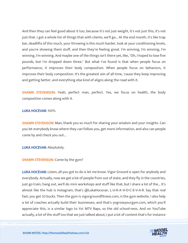And then they can feel good about it too, because it's not just weight, it's not just this, it's not just that. I got a whole list of things that with clients, we'll go... At the end month, it's like trap bar, deadlifts of this much, your throwing is this much harder, look at your conditioning levels, and you're showing them stuff, and then they're feeling great. I'm winning, I'm winning, I'm winning, I'm winning. And maybe one of the things isn't there yet, like, "Oh, I hoped to lose five pounds, but I'm dropped down three." But what I've found is that when people focus on performance, it improves their body composition. When people focus on behaviors, it improves their body composition. It's the greatest win of all time, 'cause they keep improving and getting better, and everything else kind of aligns along the road with it.

SHAWN STEVENSON: Yeah, perfect man, perfect. Yes, we focus on health, the body composition comes along with it.

#### LUKA HOCEVAR: 100%.

**SHAWN STEVENSON:** Man, thank you so much for sharing your wisdom and your insights. Can you let everybody know where they can follow you, get more information, and also can people come by and check you out...

LUKA HOCEVAR: Absolutely.

#### SHAWN STEVENSON: Come by the gym?

LUKA HOCEVAR: Listen, all you got to do is let me know. Vigor Ground is open for anybody and everybody. Actually, now we get a lot of people from out of state, and they fly in the countries, just go train, hang out, we'll do mini workshops and stuff like that, but I share a lot of the... It's almost like the hub is Instagram, that's @LukaHocevar, L-U-K-A H-O-C-E-V-A-R. Say that real fast, you get 50 bucks. Then the gym is vigorgroundfitness.com, is the gym website. I also help a lot of coaches actually build their businesses, and that's yogrowyourgym.com, which you'll appreciate this, is a similar logo to Yo! MTV Raps, so the old school-ness. And on YouTube actually, a lot of the stuff too that we just talked about, I put a lot of content that's for instance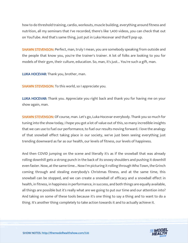how to do threshold training, cardio, workouts, muscle building, everything around fitness and nutrition, all my seminars that I've recorded, there's like 1,400 videos, you can check that out on YouTube. And that's same thing, just put in Luka Hocevar and that'll pop up.

SHAWN STEVENSON: Perfect, man, truly I mean, you are somebody speaking from outside and the people that know you, you're the trainer's trainer. A lot of folks are looking to you for models of their gym, their culture, education. So, man, it's just... You're such a gift, man.

LUKA HOCEVAR: Thank you, brother, man.

SHAWN STEVENSON: To this world, so I appreciate you.

LUKA HOCEVAR: Thank you. Appreciate you right back and thank you for having me on your show again, man.

SHAWN STEVENSON: Of course, man. Let's go, Luka Hocevar everybody. Thank you so much for tuning into the show today, I hope you got a lot of value out of this, so many incredible insights that we can use to fuel our performance, to fuel our results moving forward. I love the analogy of that snowball effect taking place in our society, we've just been seeing everything just trending downward as far as our health, our levels of fitness, our levels of happiness.

And then COVID jumping on the scene and literally it's as if the snowball that was already rolling downhill gets a strong punch in the back of its snowy shoulders and pushing it downhill even faster. Now, at the same time... Now I'm picturing it rolling through Who Town, the Grinch coming through and stealing everybody's Christmas fitness, and at the same time, this snowball can be stopped, and we can create a snowball of efficacy and a snowball effect in health, in fitness, in happiness in performance, in success, and both things are equally available, all things are possible but it's really what are we going to put our time and our attention into? And taking on some of these tools because it's one thing to say a thing and to want to do a thing. It's another thing completely to take action towards it and to actually achieve it.

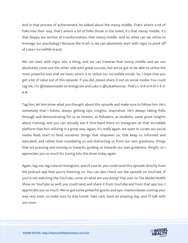And in that process of achievement, he talked about the messy middle. That's where a lot of folks lose their way, that's where a lot of folks throw in the towel, it's that messy middle, it's that Sloppy Joe section of transformation, that messy middle. And so, what can we utilize to leverage our psychology? Because the truth is, we can absolutely start with vigor to pivot off of Luka's incredible brand.

We can start with vigor into a thing, and we can traverse that messy middle and we can absolutely come out the other side with great success, but we've got to be able to utilize the most powerful tool that we have, which is to utilize our incredible minds. So, I hope that you got a lot of value out of this episode. If you did, please share it out on social media. You could tag me, I'm @shawnmodel on Instagram and Luka is @LukaHocevar. That's L-U-K-A H-O-C-E-V-A-R.

Tag him, let him know what you thought about this episode and make sure to follow him. He's somebody that I follow, always getting tips, insights, inspiration. He's always taking folks through and demonstrating for us as viewers, as followers, as students, some great insights about training, and you can actually see it first-hand there on Instagram on that incredible platform that he's utilizing in a great way. Again, it's really again, we want to curate our social media feed, start to feed ourselves things that empower us, that keep us informed and educated, and rather than inundating us and distracting us from our own greatness, things that are pressing and moving us towards, guiding us towards our own greatness. Alright, so I appreciate you so much for tuning into the show today again.

Again, tag me, tag Luka on Instagram, and of course, you could send this episode directly from the podcast app that you're listening on. You can also check out the episode on YouTube. If you're not watching the YouTube, come on what are you doing? Pop over to The Model Health Show on YouTube as well, you could send and share it from YouTube and from that app too. I appreciate you so much. We've got some powerful guests and epic masterclasses coming your way very soon, so make sure to stay tuned. Take care, have an amazing day, and I'll talk with you soon.